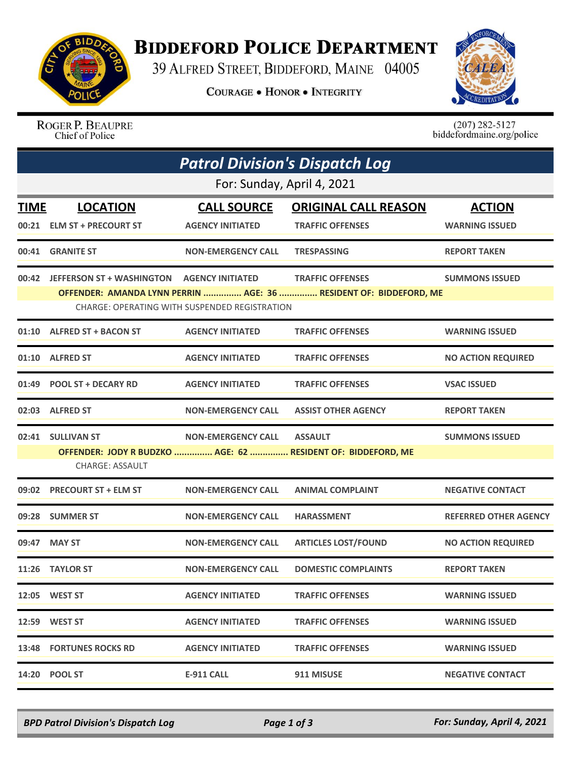

## **BIDDEFORD POLICE DEPARTMENT**

39 ALFRED STREET, BIDDEFORD, MAINE 04005

**COURAGE . HONOR . INTEGRITY** 



ROGER P. BEAUPRE Chief of Police

 $(207)$  282-5127<br>biddefordmaine.org/police

| <b>Patrol Division's Dispatch Log</b><br>For: Sunday, April 4, 2021                                                |                                                  |                           |                                                              |                              |  |  |
|--------------------------------------------------------------------------------------------------------------------|--------------------------------------------------|---------------------------|--------------------------------------------------------------|------------------------------|--|--|
|                                                                                                                    |                                                  |                           |                                                              |                              |  |  |
| 00:21                                                                                                              | <b>ELM ST + PRECOURT ST</b>                      | <b>AGENCY INITIATED</b>   | <b>TRAFFIC OFFENSES</b>                                      | <b>WARNING ISSUED</b>        |  |  |
| 00:41                                                                                                              | <b>GRANITE ST</b>                                | <b>NON-EMERGENCY CALL</b> | <b>TRESPASSING</b>                                           | <b>REPORT TAKEN</b>          |  |  |
|                                                                                                                    | 00:42 JEFFERSON ST + WASHINGTON AGENCY INITIATED |                           | <b>TRAFFIC OFFENSES</b>                                      | <b>SUMMONS ISSUED</b>        |  |  |
| OFFENDER: AMANDA LYNN PERRIN  AGE: 36  RESIDENT OF: BIDDEFORD, ME<br>CHARGE: OPERATING WITH SUSPENDED REGISTRATION |                                                  |                           |                                                              |                              |  |  |
|                                                                                                                    | 01:10 ALFRED ST + BACON ST                       | <b>AGENCY INITIATED</b>   | <b>TRAFFIC OFFENSES</b>                                      | <b>WARNING ISSUED</b>        |  |  |
|                                                                                                                    | 01:10 ALFRED ST                                  | <b>AGENCY INITIATED</b>   | <b>TRAFFIC OFFENSES</b>                                      | <b>NO ACTION REQUIRED</b>    |  |  |
|                                                                                                                    | 01:49 POOL ST + DECARY RD                        | <b>AGENCY INITIATED</b>   | <b>TRAFFIC OFFENSES</b>                                      | <b>VSAC ISSUED</b>           |  |  |
|                                                                                                                    | 02:03 ALFRED ST                                  | <b>NON-EMERGENCY CALL</b> | <b>ASSIST OTHER AGENCY</b>                                   | <b>REPORT TAKEN</b>          |  |  |
|                                                                                                                    | 02:41 SULLIVAN ST                                | <b>NON-EMERGENCY CALL</b> | <b>ASSAULT</b>                                               | <b>SUMMONS ISSUED</b>        |  |  |
|                                                                                                                    | <b>CHARGE: ASSAULT</b>                           |                           | OFFENDER: JODY R BUDZKO  AGE: 62  RESIDENT OF: BIDDEFORD, ME |                              |  |  |
| 09:02                                                                                                              | <b>PRECOURT ST + ELM ST</b>                      | <b>NON-EMERGENCY CALL</b> | <b>ANIMAL COMPLAINT</b>                                      | <b>NEGATIVE CONTACT</b>      |  |  |
|                                                                                                                    | 09:28 SUMMER ST                                  | <b>NON-EMERGENCY CALL</b> | <b>HARASSMENT</b>                                            | <b>REFERRED OTHER AGENCY</b> |  |  |
|                                                                                                                    | 09:47 MAY ST                                     | <b>NON-EMERGENCY CALL</b> | <b>ARTICLES LOST/FOUND</b>                                   | <b>NO ACTION REQUIRED</b>    |  |  |
|                                                                                                                    | 11:26 TAYLOR ST                                  | <b>NON-EMERGENCY CALL</b> | <b>DOMESTIC COMPLAINTS</b>                                   | <b>REPORT TAKEN</b>          |  |  |
|                                                                                                                    | 12:05 WEST ST                                    | <b>AGENCY INITIATED</b>   | <b>TRAFFIC OFFENSES</b>                                      | <b>WARNING ISSUED</b>        |  |  |
|                                                                                                                    | 12:59 WEST ST                                    | <b>AGENCY INITIATED</b>   | <b>TRAFFIC OFFENSES</b>                                      | <b>WARNING ISSUED</b>        |  |  |
|                                                                                                                    | <b>13:48 FORTUNES ROCKS RD</b>                   | <b>AGENCY INITIATED</b>   | <b>TRAFFIC OFFENSES</b>                                      | <b>WARNING ISSUED</b>        |  |  |
|                                                                                                                    | 14:20 POOL ST                                    | <b>E-911 CALL</b>         | 911 MISUSE                                                   | <b>NEGATIVE CONTACT</b>      |  |  |

*BPD Patrol Division's Dispatch Log Page 1 of 3 For: Sunday, April 4, 2021*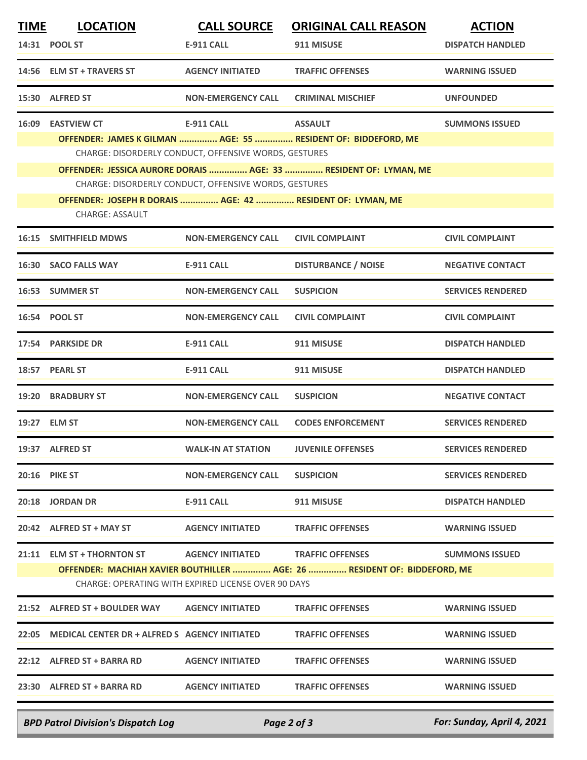| <b>TIME</b> | <b>LOCATION</b>                                            | <b>CALL SOURCE</b>                                    | <b>ORIGINAL CALL REASON</b>                                              | <b>ACTION</b>            |
|-------------|------------------------------------------------------------|-------------------------------------------------------|--------------------------------------------------------------------------|--------------------------|
|             | 14:31 POOL ST                                              | <b>E-911 CALL</b>                                     | 911 MISUSE                                                               | <b>DISPATCH HANDLED</b>  |
|             | 14:56 ELM ST + TRAVERS ST                                  | <b>AGENCY INITIATED</b>                               | <b>TRAFFIC OFFENSES</b>                                                  | <b>WARNING ISSUED</b>    |
|             | 15:30 ALFRED ST                                            | <b>NON-EMERGENCY CALL</b>                             | <b>CRIMINAL MISCHIEF</b>                                                 | <b>UNFOUNDED</b>         |
| 16:09       | <b>EASTVIEW CT</b>                                         | <b>E-911 CALL</b>                                     | <b>ASSAULT</b>                                                           | <b>SUMMONS ISSUED</b>    |
|             |                                                            |                                                       | OFFENDER: JAMES K GILMAN  AGE: 55  RESIDENT OF: BIDDEFORD, ME            |                          |
|             |                                                            | CHARGE: DISORDERLY CONDUCT, OFFENSIVE WORDS, GESTURES |                                                                          |                          |
|             |                                                            | CHARGE: DISORDERLY CONDUCT, OFFENSIVE WORDS, GESTURES | OFFENDER: JESSICA AURORE DORAIS  AGE: 33  RESIDENT OF: LYMAN, ME         |                          |
|             | OFFENDER: JOSEPH R DORAIS  AGE: 42  RESIDENT OF: LYMAN, ME |                                                       |                                                                          |                          |
|             | <b>CHARGE: ASSAULT</b>                                     |                                                       |                                                                          |                          |
| 16:15       | <b>SMITHFIELD MDWS</b>                                     | <b>NON-EMERGENCY CALL</b>                             | <b>CIVIL COMPLAINT</b>                                                   | <b>CIVIL COMPLAINT</b>   |
|             | 16:30 SACO FALLS WAY                                       | E-911 CALL                                            | <b>DISTURBANCE / NOISE</b>                                               | <b>NEGATIVE CONTACT</b>  |
|             | 16:53 SUMMER ST                                            | <b>NON-EMERGENCY CALL</b>                             | <b>SUSPICION</b>                                                         | <b>SERVICES RENDERED</b> |
|             | 16:54 POOL ST                                              | <b>NON-EMERGENCY CALL</b>                             | <b>CIVIL COMPLAINT</b>                                                   | <b>CIVIL COMPLAINT</b>   |
|             | 17:54 PARKSIDE DR                                          | E-911 CALL                                            | 911 MISUSE                                                               | <b>DISPATCH HANDLED</b>  |
|             | 18:57 PEARL ST                                             | <b>E-911 CALL</b>                                     | 911 MISUSE                                                               | <b>DISPATCH HANDLED</b>  |
|             | 19:20 BRADBURY ST                                          | <b>NON-EMERGENCY CALL</b>                             | <b>SUSPICION</b>                                                         | <b>NEGATIVE CONTACT</b>  |
|             | 19:27 ELM ST                                               | <b>NON-EMERGENCY CALL</b>                             | <b>CODES ENFORCEMENT</b>                                                 | <b>SERVICES RENDERED</b> |
|             | 19:37 ALFRED ST                                            | <b>WALK-IN AT STATION</b>                             | <b>JUVENILE OFFENSES</b>                                                 | <b>SERVICES RENDERED</b> |
|             | <b>20:16 PIKE ST</b>                                       | <b>NON-EMERGENCY CALL</b>                             | <b>SUSPICION</b>                                                         | <b>SERVICES RENDERED</b> |
|             | 20:18 JORDAN DR                                            | E-911 CALL                                            | 911 MISUSE                                                               | <b>DISPATCH HANDLED</b>  |
|             | 20:42 ALFRED ST + MAY ST                                   | <b>AGENCY INITIATED</b>                               | <b>TRAFFIC OFFENSES</b>                                                  | <b>WARNING ISSUED</b>    |
|             | 21:11 ELM ST + THORNTON ST                                 | <b>AGENCY INITIATED</b>                               | <b>TRAFFIC OFFENSES</b>                                                  | <b>SUMMONS ISSUED</b>    |
|             |                                                            | CHARGE: OPERATING WITH EXPIRED LICENSE OVER 90 DAYS   | OFFENDER: MACHIAH XAVIER BOUTHILLER  AGE: 26  RESIDENT OF: BIDDEFORD, ME |                          |
|             | 21:52 ALFRED ST + BOULDER WAY AGENCY INITIATED             |                                                       | <b>TRAFFIC OFFENSES</b>                                                  | <b>WARNING ISSUED</b>    |
|             | 22:05 MEDICAL CENTER DR + ALFRED S AGENCY INITIATED        |                                                       | <b>TRAFFIC OFFENSES</b>                                                  | <b>WARNING ISSUED</b>    |
|             | 22:12 ALFRED ST + BARRA RD                                 | <b>AGENCY INITIATED</b>                               | <b>TRAFFIC OFFENSES</b>                                                  | <b>WARNING ISSUED</b>    |
|             | 23:30 ALFRED ST + BARRA RD                                 | <b>AGENCY INITIATED</b>                               | <b>TRAFFIC OFFENSES</b>                                                  | <b>WARNING ISSUED</b>    |
|             |                                                            |                                                       |                                                                          |                          |

*BPD Patrol Division's Dispatch Log Page 2 of 3 For: Sunday, April 4, 2021*